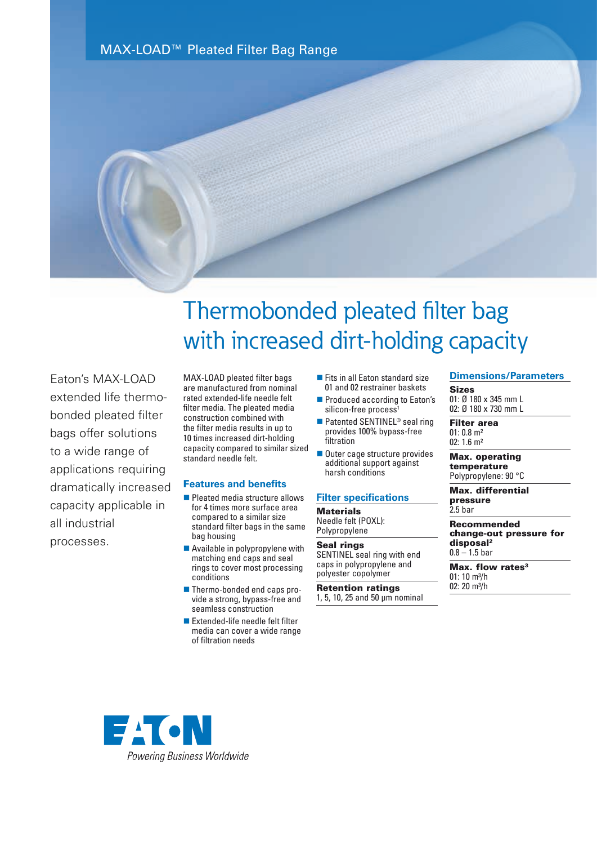MAX-LOAD™ Pleated Filter Bag Range



# Thermobonded pleated filter bag with increased dirt-holding capacity

Faton's MAX-LOAD extended life thermobonded pleated filter bags offer solutions to a wide range of applications requiring dramatically increased capacity applicable in all industrial processes.

MAX-LOAD pleated filter bags are manufactured from nominal rated extended-life needle felt filter media. The pleated media construction combined with the filter media results in up to 10 times increased dirt-holding capacity compared to similar sized standard needle felt.

#### F**eatures and benefits**

- $\blacksquare$  Pleated media structure allows for 4 times more surface area compared to a similar size standard filter bags in the same bag housing
- $\blacksquare$  Available in polypropylene with matching end caps and seal rings to cover most processing conditions
- Thermo-bonded end caps provide a strong, bypass-free and seamless construction
- $\blacksquare$  Extended-life needle felt filter media can cover a wide range of filtration needs
- $\blacksquare$  Fits in all Eaton standard size 01 and 02 restrainer baskets
- **n** Produced according to Eaton's silicon-free process<sup>1</sup>
- Patented SENTINEL<sup>®</sup> seal ring provides 100% bypass-free filtration
- Outer cage structure provides additional support against harsh conditions

#### **Filter specifications**

#### **Materials**

Needle felt (POXL): Polypropylene

Seal rings SENTINEL seal ring with end caps in polypropylene and polyester copolymer

Retention ratings 1, 5, 10, 25 and 50 µm nominal

### **Dimensions/Parameters**

Sizes 01: Ø 180 x 345 mm L 02: Ø 180 x 730 mm L

Filter area 01: 0.8 m² 02: 1.6 m²

Max. operating temperature Polypropylene: 90 °C

Max. differential pressure 2.5 bar

Recommended change-out pressure for disposal2  $0.8 - 1.5$  bar

Max. flow rates<sup>3</sup>  $01: 10$  m $^{3}/h$ 02: 20 m<sup>3</sup>/h